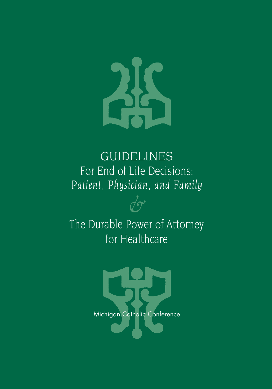

GUIDELINES For End of Life Decisions: *Patient, Physician, and Family*



The Durable Power of Attorney for Healthcare

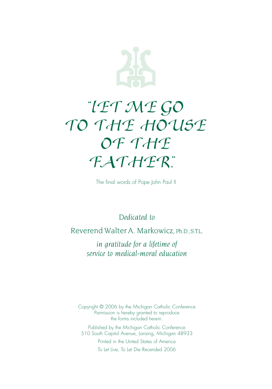

# "lET ME GO TO THE HOUSE OF THE FATHER."

The final words of Pope John Paul II

*Dedicated to*

Reverend Walter A. Markowicz, Ph.D.,S.T.L.

*in gratitude for a lifetime of service to medical-moral education*

Copyright © 2006 by the Michigan Catholic Conference Permission is hereby granted to reproduce the forms included herein. Published by the Michigan Catholic Conference 510 South Capitol Avenue, Lansing, Michigan 48933 Printed in the United States of America To Let Live, To Let Die Recended 2006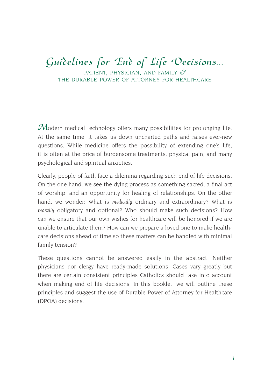## Guidelines for End of Life Decisions...

PATIENT, PHYSICIAN, AND FAMILY *&* THE DURABLE POWER OF ATTORNEY FOR HEALTHCARE

 $\mathcal{M}$ odern medical technology offers many possibilities for prolonging life. At the same time, it takes us down uncharted paths and raises ever-new questions. While medicine offers the possibility of extending one's life, it is often at the price of burdensome treatments, physical pain, and many psychological and spiritual anxieties.

Clearly, people of faith face a dilemma regarding such end of life decisions. On the one hand, we see the dying process as something sacred, a final act of worship, and an opportunity for healing of relationships. On the other hand, we wonder: What is *medically* ordinary and extraordinary? What is *morally* obligatory and optional? Who should make such decisions? How can we ensure that our own wishes for healthcare will be honored if we are unable to articulate them? How can we prepare a loved one to make healthcare decisions ahead of time so these matters can be handled with minimal family tension?

These questions cannot be answered easily in the abstract. Neither physicians nor clergy have ready-made solutions. Cases vary greatly but there are certain consistent principles Catholics should take into account when making end of life decisions. In this booklet, we will outline these principles and suggest the use of Durable Power of Attorney for Healthcare (DPOA) decisions.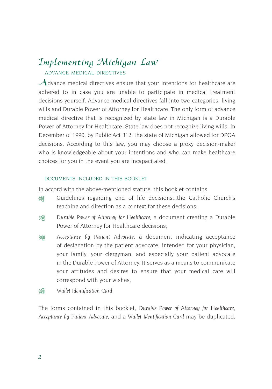## Implementing Michigan Law

#### ADVANCE MEDICAL DIRECTIVES

 $\mathcal A$ dvance medical directives ensure that your intentions for healthcare are adhered to in case you are unable to participate in medical treatment decisions yourself. Advance medical directives fall into two categories: living wills and Durable Power of Attorney for Healthcare. The only form of advance medical directive that is recognized by state law in Michigan is a Durable Power of Attorney for Healthcare. State law does not recognize living wills. In December of 1990, by Public Act 312, the state of Michigan allowed for DPOA decisions. According to this law, you may choose a proxy decision-maker who is knowledgeable about your intentions and who can make healthcare choices for you in the event you are incapacitated.

#### DOCUMENTS INCLUDED IN THIS BOOKLET

In accord with the above-mentioned statute, this booklet contains

- Guidelines regarding end of life decisions...the Catholic Church's 뚦 teaching and direction as a context for these decisions;
- 쑮 *Durable Power of Attorney for Healthcare,* a document creating a Durable Power of Attorney for Healthcare decisions;
- *Acceptance by Patient Advocate,* a document indicating acceptance 똛 of designation by the patient advocate, intended for your physician, your family, your clergyman, and especially your patient advocate in the Durable Power of Attorney. It serves as a means to communicate your attitudes and desires to ensure that your medical care will correspond with your wishes;
- *Wallet Identification Card.* 똙

The forms contained in this booklet, *Durable Power of Attorney for Healthcare, Acceptance by Patient Advocate,* and a *Wallet Identification Card* may be duplicated.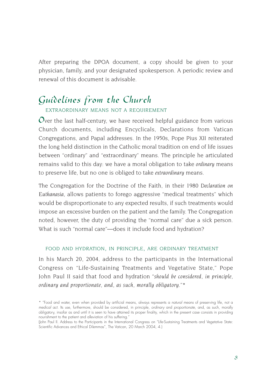After preparing the DPOA document, a copy should be given to your physician, family, and your designated spokesperson. A periodic review and renewal of this document is advisable.

### Guidelines from the Church

#### EXTRAORDINARY MEANS NOT A REQUIREMENT

Over the last half-century, we have received helpful guidance from various Church documents, including Encyclicals, Declarations from Vatican Congregations, and Papal addresses. In the 1950s, Pope Pius XII reiterated the long held distinction in the Catholic moral tradition on end of life issues between "ordinary" and "extraordinary" means. The principle he articulated remains valid to this day: we have a moral obligation to take *ordinary* means to preserve life, but no one is obliged to take *extraordinary* means.

The Congregation for the Doctrine of the Faith, in their 1980 *Declaration on Euthanasia,* allows patients to forego aggressive "medical treatments" which would be disproportionate to any expected results, if such treatments would impose an excessive burden on the patient and the family. The Congregation noted, however, the duty of providing the "normal care" due a sick person. What is such "normal care"—does it include food and hydration?

#### FOOD AND HYDRATION, IN PRINCIPLE, ARE ORDINARY TREATMENT

In his March 20, 2004, address to the participants in the International Congress on "Life-Sustaining Treatments and Vegetative State," Pope John Paul II said that food and hydration *"should be considered, in principle, ordinary and proportionate, and, as such, morally obligatory."*\*

<sup>\* &</sup>quot;Food and water, even when provided by artificial means, always represents a natural means of preserving life, not a medical act. Its use, furthermore, should be considered, in principle, ordinary and proportionate, and, as such, morally obligatory, insofar as and until it is seen to have attained its proper finality, which in the present case consists in providing nourishment to the patient and alleviation of his suffering."

<sup>(</sup>John Paul II. Address to the Participants in the International Congress on "Life-Sustaining Treatments and Vegetative State: Scientific Advances and Ethical Dilemmas", The Vatican, 20 March 2004, 4.)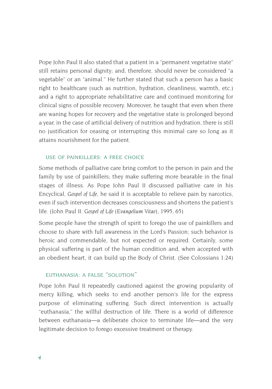Pope John Paul II also stated that a patient in a "permanent vegetative state" still retains personal dignity; and, therefore, should never be considered "a vegetable" or an "animal." He further stated that such a person has a basic right to healthcare (such as nutrition, hydration, cleanliness, warmth, etc.) and a right to appropriate rehabilitative care and continued monitoring for clinical signs of possible recovery. Moreover, he taught that even when there are waning hopes for recovery and the vegetative state is prolonged beyond a year, in the case of artificial delivery of nutrition and hydration, there is still no justification for ceasing or interrupting this minimal care so long as it attains nourishment for the patient.

#### USE OF PAINKILLERS: A FREE CHOICE

Some methods of palliative care bring comfort to the person in pain and the family by use of painkillers; they make suffering more bearable in the final stages of illness. As Pope John Paul II discussed palliative care in his Encyclical, *Gospel of Life*, he said it is acceptable to relieve pain by narcotics, even if such intervention decreases consciousness and shortens the patient's life. (John Paul II. *Gospel of Life* (*Evangelium Vitae)*, 1995, 65)

Some people have the strength of spirit to forego the use of painkillers and choose to share with full awareness in the Lord's Passion; such behavior is heroic and commendable, but not expected or required. Certainly, some physical suffering is part of the human condition and, when accepted with an obedient heart, it can build up the Body of Christ. (See Colossians 1:24)

#### EUTHANASIA: A FALSE "SOLUTION"

Pope John Paul II repeatedly cautioned against the growing popularity of mercy killing, which seeks to end another person's life for the express purpose of eliminating suffering. Such direct intervention is actually "euthanasia," the willful destruction of life. There is a world of difference between euthanasia—a deliberate choice to terminate life—and the very legitimate decision to forego excessive treatment or therapy.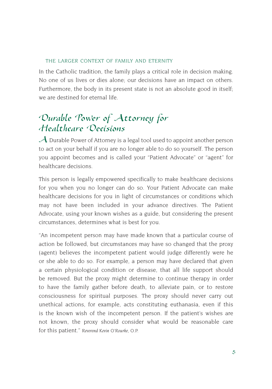#### THE LARGER CONTEXT OF FAMILY AND ETERNITY

In the Catholic tradition, the family plays a critical role in decision making. No one of us lives or dies alone; our decisions have an impact on others. Furthermore, the body in its present state is not an absolute good in itself; we are destined for eternal life.

## Durable Power of Attorney for Healthcare Decisions

 $\mathcal A$  Durable Power of Attorney is a legal tool used to appoint another person to act on your behalf if you are no longer able to do so yourself. The person you appoint becomes and is called your "Patient Advocate" or "agent" for healthcare decisions.

This person is legally empowered specifically to make healthcare decisions for you when you no longer can do so. Your Patient Advocate can make healthcare decisions for you in light of circumstances or conditions which may not have been included in your advance directives. The Patient Advocate, using your known wishes as a guide, but considering the present circumstances, determines what is best for you.

"An incompetent person may have made known that a particular course of action be followed, but circumstances may have so changed that the proxy (agent) believes the incompetent patient would judge differently were he or she able to do so. For example, a person may have declared that given a certain physiological condition or disease, that all life support should be removed. But the proxy might determine to continue therapy in order to have the family gather before death, to alleviate pain, or to restore consciousness for spiritual purposes. The proxy should never carry out unethical actions, for example, acts constituting euthanasia, even if this is the known wish of the incompetent person. If the patient's wishes are not known, the proxy should consider what would be reasonable care for this patient." *Reverend Kevin O'Rourke, O.P.*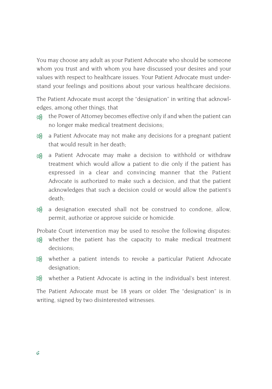You may choose any adult as your Patient Advocate who should be someone whom you trust and with whom you have discussed your desires and your values with respect to healthcare issues. Your Patient Advocate must understand your feelings and positions about your various healthcare decisions.

The Patient Advocate must accept the "designation" in writing that acknowledges, among other things, that

- the Power of Attorney becomes effective only if and when the patient can 똪 no longer make medical treatment decisions;
- a Patient Advocate may not make any decisions for a pregnant patient that would result in her death;
- a Patient Advocate may make a decision to withhold or withdraw treatment which would allow a patient to die only if the patient has expressed in a clear and convincing manner that the Patient Advocate is authorized to make such a decision, and that the patient acknowledges that such a decision could or would allow the patient's death;
- **※** a designation executed shall not be construed to condone, allow, permit, authorize or approve suicide or homicide.

Probate Court intervention may be used to resolve the following disputes:

- whether the patient has the capacity to make medical treatment decisions;
- **※** whether a patient intends to revoke a particular Patient Advocate designation;
- · 동물 whether a Patient Advocate is acting in the individual's best interest.

The Patient Advocate must be 18 years or older. The "designation" is in writing, signed by two disinterested witnesses.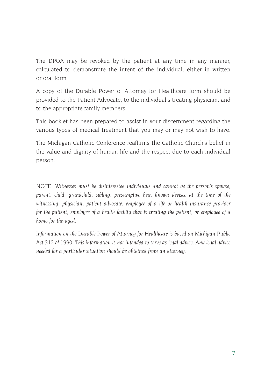The DPOA may be revoked by the patient at any time in any manner, calculated to demonstrate the intent of the individual, either in written or oral form.

A copy of the Durable Power of Attorney for Healthcare form should be provided to the Patient Advocate, to the individual's treating physician, and to the appropriate family members.

This booklet has been prepared to assist in your discernment regarding the various types of medical treatment that you may or may not wish to have.

The Michigan Catholic Conference reaffirms the Catholic Church's belief in the value and dignity of human life and the respect due to each individual person.

NOTE: *Witnesses must be disinterested individuals and cannot be the person's spouse, parent, child, grandchild, sibling, presumptive heir, known devisee at the time of the witnessing, physician, patient advocate, employee of a life or health insurance provider for the patient, employee of a health facility that is treating the patient, or employee of a home-for-the-aged.*

*Information on the Durable Power of Attorney for Healthcare is based on Michigan Public Act 312 of 1990. This information is not intended to serve as legal advice. Any legal advice needed for a particular situation should be obtained from an attorney.*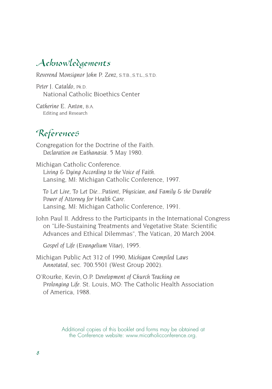## Acknowledgements

*Reverend Monsignor John P. Zenz, S.T.B., S.T.L., S.T.D.*

*Peter J. Cataldo, Ph.D.* National Catholic Bioethics Center

*Catherine E. Anton, B.A.* Editing and Research

## ReferenceS

Congregation for the Doctrine of the Faith. *Declaration on Euthanasia. 5* May 1980.

Michigan Catholic Conference. *Living & Dying According to the Voice of Faith*. Lansing, MI: Michigan Catholic Conference, 1997.

*To Let Live, To Let Die...Patient, Physician, and Family & the Durable Power of Attorney for Health Care.* Lansing, MI: Michigan Catholic Conference, 1991.

John Paul II. Address to the Participants in the International Congress on "Life-Sustaining Treatments and Vegetative State: Scientific Advances and Ethical Dilemmas", The Vatican, 20 March 2004.

*Gospel of Life (Evangelium Vitae),* 1995.

Michigan Public Act 312 of 1990, *Michigan Compiled Laws Annotated*, sec. 700.5501 (West Group 2002).

O'Rourke, Kevin, O.P. *Development of Church Teaching on Prolonging Life*. St. Louis, MO: The Catholic Health Association of America, 1988.

> Additional copies of this booklet and forms may be obtained at the Conference website: www.micatholicconference.org.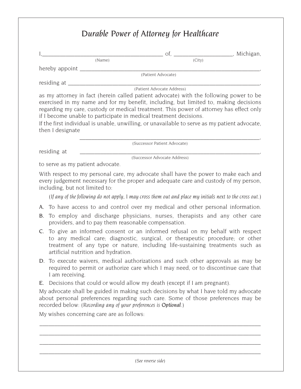| Details and the set of the set of the set of the set of the set of the set of the set of the set of the set of the set of the set of the set of the set of the set of the set of the set of the set of the set of the set of t<br>(Name)<br>as my attorney in fact (herein called patient advocate) with the following power to be | (Patient Advocate)                                                                                                                               | (City)                                                                                                                                                               |                                                                                                                                                                                                                                                                                                                                                                                                                                                                                                                                                                                                                                                                                                                                                                                                                                                                                                                                                                                                                                                                                                                                                                                                                                                                                                                                                                                 |
|------------------------------------------------------------------------------------------------------------------------------------------------------------------------------------------------------------------------------------------------------------------------------------------------------------------------------------|--------------------------------------------------------------------------------------------------------------------------------------------------|----------------------------------------------------------------------------------------------------------------------------------------------------------------------|---------------------------------------------------------------------------------------------------------------------------------------------------------------------------------------------------------------------------------------------------------------------------------------------------------------------------------------------------------------------------------------------------------------------------------------------------------------------------------------------------------------------------------------------------------------------------------------------------------------------------------------------------------------------------------------------------------------------------------------------------------------------------------------------------------------------------------------------------------------------------------------------------------------------------------------------------------------------------------------------------------------------------------------------------------------------------------------------------------------------------------------------------------------------------------------------------------------------------------------------------------------------------------------------------------------------------------------------------------------------------------|
|                                                                                                                                                                                                                                                                                                                                    |                                                                                                                                                  |                                                                                                                                                                      |                                                                                                                                                                                                                                                                                                                                                                                                                                                                                                                                                                                                                                                                                                                                                                                                                                                                                                                                                                                                                                                                                                                                                                                                                                                                                                                                                                                 |
|                                                                                                                                                                                                                                                                                                                                    |                                                                                                                                                  |                                                                                                                                                                      |                                                                                                                                                                                                                                                                                                                                                                                                                                                                                                                                                                                                                                                                                                                                                                                                                                                                                                                                                                                                                                                                                                                                                                                                                                                                                                                                                                                 |
|                                                                                                                                                                                                                                                                                                                                    |                                                                                                                                                  |                                                                                                                                                                      |                                                                                                                                                                                                                                                                                                                                                                                                                                                                                                                                                                                                                                                                                                                                                                                                                                                                                                                                                                                                                                                                                                                                                                                                                                                                                                                                                                                 |
|                                                                                                                                                                                                                                                                                                                                    | (Patient Advocate Address)                                                                                                                       |                                                                                                                                                                      |                                                                                                                                                                                                                                                                                                                                                                                                                                                                                                                                                                                                                                                                                                                                                                                                                                                                                                                                                                                                                                                                                                                                                                                                                                                                                                                                                                                 |
| exercised in my name and for my benefit, including, but limited to, making decisions<br>regarding my care, custody or medical treatment. This power of attorney has effect only                                                                                                                                                    |                                                                                                                                                  |                                                                                                                                                                      |                                                                                                                                                                                                                                                                                                                                                                                                                                                                                                                                                                                                                                                                                                                                                                                                                                                                                                                                                                                                                                                                                                                                                                                                                                                                                                                                                                                 |
|                                                                                                                                                                                                                                                                                                                                    |                                                                                                                                                  |                                                                                                                                                                      |                                                                                                                                                                                                                                                                                                                                                                                                                                                                                                                                                                                                                                                                                                                                                                                                                                                                                                                                                                                                                                                                                                                                                                                                                                                                                                                                                                                 |
|                                                                                                                                                                                                                                                                                                                                    |                                                                                                                                                  |                                                                                                                                                                      |                                                                                                                                                                                                                                                                                                                                                                                                                                                                                                                                                                                                                                                                                                                                                                                                                                                                                                                                                                                                                                                                                                                                                                                                                                                                                                                                                                                 |
|                                                                                                                                                                                                                                                                                                                                    |                                                                                                                                                  |                                                                                                                                                                      |                                                                                                                                                                                                                                                                                                                                                                                                                                                                                                                                                                                                                                                                                                                                                                                                                                                                                                                                                                                                                                                                                                                                                                                                                                                                                                                                                                                 |
|                                                                                                                                                                                                                                                                                                                                    |                                                                                                                                                  |                                                                                                                                                                      |                                                                                                                                                                                                                                                                                                                                                                                                                                                                                                                                                                                                                                                                                                                                                                                                                                                                                                                                                                                                                                                                                                                                                                                                                                                                                                                                                                                 |
|                                                                                                                                                                                                                                                                                                                                    |                                                                                                                                                  |                                                                                                                                                                      |                                                                                                                                                                                                                                                                                                                                                                                                                                                                                                                                                                                                                                                                                                                                                                                                                                                                                                                                                                                                                                                                                                                                                                                                                                                                                                                                                                                 |
|                                                                                                                                                                                                                                                                                                                                    |                                                                                                                                                  |                                                                                                                                                                      |                                                                                                                                                                                                                                                                                                                                                                                                                                                                                                                                                                                                                                                                                                                                                                                                                                                                                                                                                                                                                                                                                                                                                                                                                                                                                                                                                                                 |
|                                                                                                                                                                                                                                                                                                                                    |                                                                                                                                                  |                                                                                                                                                                      |                                                                                                                                                                                                                                                                                                                                                                                                                                                                                                                                                                                                                                                                                                                                                                                                                                                                                                                                                                                                                                                                                                                                                                                                                                                                                                                                                                                 |
|                                                                                                                                                                                                                                                                                                                                    |                                                                                                                                                  |                                                                                                                                                                      |                                                                                                                                                                                                                                                                                                                                                                                                                                                                                                                                                                                                                                                                                                                                                                                                                                                                                                                                                                                                                                                                                                                                                                                                                                                                                                                                                                                 |
|                                                                                                                                                                                                                                                                                                                                    |                                                                                                                                                  |                                                                                                                                                                      |                                                                                                                                                                                                                                                                                                                                                                                                                                                                                                                                                                                                                                                                                                                                                                                                                                                                                                                                                                                                                                                                                                                                                                                                                                                                                                                                                                                 |
|                                                                                                                                                                                                                                                                                                                                    |                                                                                                                                                  |                                                                                                                                                                      |                                                                                                                                                                                                                                                                                                                                                                                                                                                                                                                                                                                                                                                                                                                                                                                                                                                                                                                                                                                                                                                                                                                                                                                                                                                                                                                                                                                 |
|                                                                                                                                                                                                                                                                                                                                    |                                                                                                                                                  |                                                                                                                                                                      |                                                                                                                                                                                                                                                                                                                                                                                                                                                                                                                                                                                                                                                                                                                                                                                                                                                                                                                                                                                                                                                                                                                                                                                                                                                                                                                                                                                 |
|                                                                                                                                                                                                                                                                                                                                    |                                                                                                                                                  |                                                                                                                                                                      |                                                                                                                                                                                                                                                                                                                                                                                                                                                                                                                                                                                                                                                                                                                                                                                                                                                                                                                                                                                                                                                                                                                                                                                                                                                                                                                                                                                 |
|                                                                                                                                                                                                                                                                                                                                    |                                                                                                                                                  |                                                                                                                                                                      |                                                                                                                                                                                                                                                                                                                                                                                                                                                                                                                                                                                                                                                                                                                                                                                                                                                                                                                                                                                                                                                                                                                                                                                                                                                                                                                                                                                 |
|                                                                                                                                                                                                                                                                                                                                    |                                                                                                                                                  |                                                                                                                                                                      |                                                                                                                                                                                                                                                                                                                                                                                                                                                                                                                                                                                                                                                                                                                                                                                                                                                                                                                                                                                                                                                                                                                                                                                                                                                                                                                                                                                 |
|                                                                                                                                                                                                                                                                                                                                    | then I designate<br>to serve as my patient advocate.<br>including, but not limited to:<br>artificial nutrition and hydration.<br>I am receiving. | providers, and to pay them reasonable compensation.<br>recorded below: (Recording any of your preferences is Optional.)<br>My wishes concerning care are as follows: | if I become unable to participate in medical treatment decisions.<br>If the first individual is unable, unwilling, or unavailable to serve as my patient advocate,<br>(Successor Patient Advocate)<br>(Successor Advocate Address)<br>With respect to my personal care, my advocate shall have the power to make each and<br>every judgement necessary for the proper and adequate care and custody of my person,<br>(If any of the following do not apply, I may cross them out and place my initials next to the cross out.)<br>To have access to and control over my medical and other personal information.<br>To employ and discharge physicians, nurses, therapists and any other care<br>To give an informed consent or an informed refusal on my behalf with respect<br>to any medical care; diagnostic, surgical, or therapeutic procedure; or other<br>treatment of any type or nature, including life-sustaining treatments such as<br>D. To execute waivers, medical authorizations and such other approvals as may be<br>required to permit or authorize care which I may need, or to discontinue care that<br>Decisions that could or would allow my death (except if I am pregnant).<br>My advocate shall be guided in making such decisions by what I have told my advocate<br>about personal preferences regarding such care. Some of those preferences may be |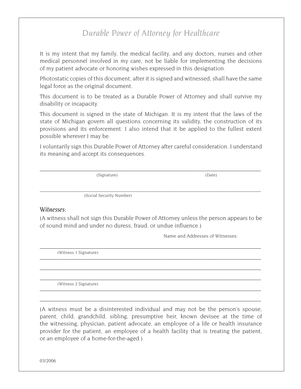## *Durable Power of Attorney for Healthcare*

It is my intent that my family, the medical facility, and any doctors, nurses and other medical personnel involved in my care, not be liable for implementing the decisions of my patient advocate or honoring wishes expressed in this designation.

Photostatic copies of this document, after it is signed and witnessed, shall have the same legal force as the original document.

This document is to be treated as a Durable Power of Attorney and shall survive my disability or incapacity.

This document is signed in the state of Michigan. It is my intent that the laws of the state of Michigan govern all questions concerning its validity, the construction of its provisions and its enforcement. I also intend that it be applied to the fullest extent possible wherever I may be.

I voluntarily sign this Durable Power of Attorney after careful consideration. I understand its meaning and accept its consequences.

\_\_\_\_\_\_\_\_\_\_\_\_\_\_\_\_\_\_\_\_\_\_\_\_\_\_\_\_\_\_\_\_\_\_\_\_\_\_\_\_\_\_\_\_\_\_\_\_\_\_\_\_\_\_\_\_\_\_\_\_\_\_\_\_\_\_\_\_\_\_\_\_\_\_\_

*\_\_\_\_\_\_\_\_\_\_\_\_\_\_\_\_\_\_\_\_\_\_\_\_\_\_\_\_\_\_\_\_\_\_\_\_\_\_\_\_\_\_\_\_\_\_\_\_\_\_\_\_\_\_\_\_\_\_\_\_\_\_\_\_\_\_\_\_\_\_\_\_\_\_\_\_\_\_\_\_\_\_\_\_\_\_\_\_\_\_*

(Signature) (Date)

(Social Security Number)

#### *Witnesses:*

(A witness shall not sign this Durable Power of Attorney unless the person appears to be of sound mind and under no duress, fraud, or undue influence.)

\_\_\_\_\_\_\_\_\_\_\_\_\_\_\_\_\_\_\_\_\_\_\_\_\_\_\_\_\_\_\_\_\_\_\_\_\_\_\_\_\_\_\_\_\_\_\_\_\_\_\_\_\_\_\_\_\_\_\_\_\_\_\_\_\_\_\_\_\_\_\_\_\_\_\_

\_\_\_\_\_\_\_\_\_\_\_\_\_\_\_\_\_\_\_\_\_\_\_\_\_\_\_\_\_\_\_\_\_\_\_\_\_\_\_\_\_\_\_\_\_\_\_\_\_\_\_\_\_\_\_\_\_\_\_\_\_\_\_\_\_\_\_\_\_\_\_\_\_\_\_

\_\_\_\_\_\_\_\_\_\_\_\_\_\_\_\_\_\_\_\_\_\_\_\_\_\_\_\_\_\_\_\_\_\_\_\_\_\_\_\_\_\_\_\_\_\_\_\_\_\_\_\_\_\_\_\_\_\_\_\_\_\_\_\_\_\_\_\_\_\_\_\_\_\_\_

\_\_\_\_\_\_\_\_\_\_\_\_\_\_\_\_\_\_\_\_\_\_\_\_\_\_\_\_\_\_\_\_\_\_\_\_\_\_\_\_\_\_\_\_\_\_\_\_\_\_\_\_\_\_\_\_\_\_\_\_\_\_\_\_\_\_\_\_\_\_\_\_\_\_\_

Name and Addresses of Witnesses:

(Witness 1 Signature)  $\frac{1}{2}$  ,  $\frac{1}{2}$  ,  $\frac{1}{2}$  ,  $\frac{1}{2}$  ,  $\frac{1}{2}$  ,  $\frac{1}{2}$  ,  $\frac{1}{2}$  ,  $\frac{1}{2}$  ,  $\frac{1}{2}$  ,  $\frac{1}{2}$  ,  $\frac{1}{2}$  ,  $\frac{1}{2}$  ,  $\frac{1}{2}$  ,  $\frac{1}{2}$  ,  $\frac{1}{2}$  ,  $\frac{1}{2}$  ,  $\frac{1}{2}$  ,  $\frac{1}{2}$  ,  $\frac{1$ 

(Witness 2 Signature)  $\overline{a}$  ,  $\overline{b}$  ,  $\overline{a}$  ,  $\overline{b}$  ,  $\overline{c}$  ,  $\overline{b}$  ,  $\overline{c}$  ,  $\overline{c}$  ,  $\overline{c}$  ,  $\overline{c}$  ,  $\overline{c}$  ,  $\overline{c}$  ,  $\overline{c}$  ,  $\overline{c}$  ,  $\overline{c}$  ,  $\overline{c}$  ,  $\overline{c}$  ,  $\overline{c}$  ,  $\overline{c}$  ,  $\overline{c}$  ,

(A witness must be a disinterested individual and may not be the person's spouse, parent, child, grandchild, sibling, presumptive heir, known devisee at the time of the witnessing, physician, patient advocate, an employee of a life or health insurance provider for the patient, an employee of a health facility that is treating the patient, or an employee of a home-for-the-aged.)

03/2006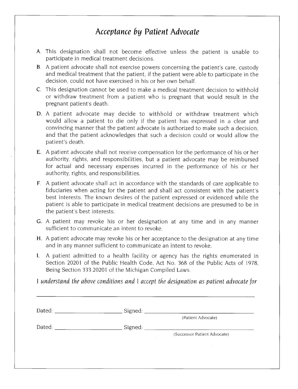## **Acceptance** by **Patient Advocate**

- This designation shall not become effective unless the patient is unable to participate in medical treatment decisions.
- A patient advocate shall not exercise powers concerning the patient's care, custody and medical treatment that the patient, if the patient were able to participate in the decision, could not have exercised in his or her own behalf.
- C. This designation cannot be used to make a medical treatment decision to withhold or withdraw treatment from a patient who is pregnant that would result in the pregnant patient's death.
- D. A patient advocate may decide to withhold or withdraw treatment which would allow a patient to die only if the patient has expressed in a clear and convincing manner that the patient advocate is authorized to make such a decision, and that the patient acknowledges that such a decision could or would allow the patient's death.
- A patient advocate shall not receive compensation for the performance of his or her authority, rights, and responsibilities, but a patient advocate may be reimbursed for actual and necessary expenses incurred in the performance of his or her authority, rights, and responsibilities.
- A patient advocate shall act in accordance with the standards of care applicable to fiduciaries when acting for the patient and shall act consistent with the patient's best interests. The known desires of the patient expressed or evidenced while the patient is able to participate in medical treatment decisions are presumed to be in the patient's best interests.
- A patient may revoke his or her designation at any time and in any manner sufficient to communicate an intent to revoke,
- A patient advocate may revoke his or her acceptance to the designation at any time and in any manner sufficient to communicate an intent to revoke.
- A patient admitted to a health facility or agency has the rights enumerated in Section 20201 of the Public Health Code, Act No. 368 of the Public Acts of 1978, Being Section 333.20201 of the Michigan Compiled Laws.

1 understand the above conditions and I accept the designation as patient advocate for

| Dated: | Signed: $\_\_$ |                              |
|--------|----------------|------------------------------|
|        |                | (Patient Advocate)           |
| Dated: | Signed:        |                              |
|        |                | (Successor Patient Advocate) |
|        |                |                              |
|        |                |                              |
|        |                |                              |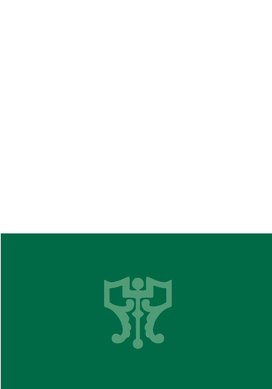